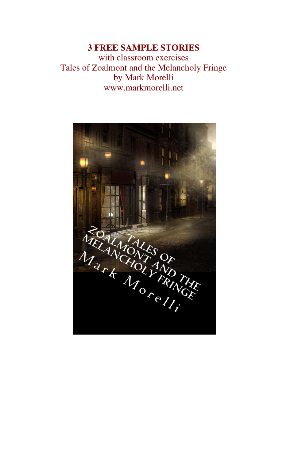#### **3 FREE SAMPLE STORIES** with classroom exercises Tales of Zoalmont and the Melancholy Fringe by Mark Morelli www.markmorelli.net

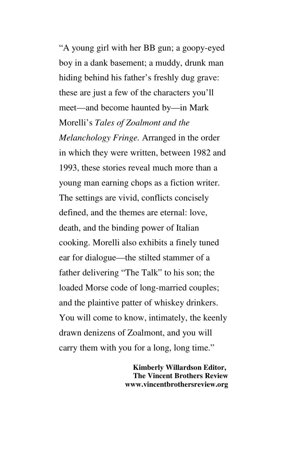"A young girl with her BB gun; a goopy-eyed boy in a dank basement; a muddy, drunk man hiding behind his father's freshly dug grave: these are just a few of the characters you'll meet—and become haunted by—in Mark Morelli's *Tales of Zoalmont and the Melanchology Fringe.* Arranged in the order in which they were written, between 1982 and 1993, these stories reveal much more than a young man earning chops as a fiction writer. The settings are vivid, conflicts concisely defined, and the themes are eternal: love, death, and the binding power of Italian cooking. Morelli also exhibits a finely tuned ear for dialogue—the stilted stammer of a father delivering "The Talk" to his son; the loaded Morse code of long-married couples; and the plaintive patter of whiskey drinkers. You will come to know, intimately, the keenly drawn denizens of Zoalmont, and you will carry them with you for a long, long time."

> **Kimberly Willardson Editor, The Vincent Brothers Review www.vincentbrothersreview.org**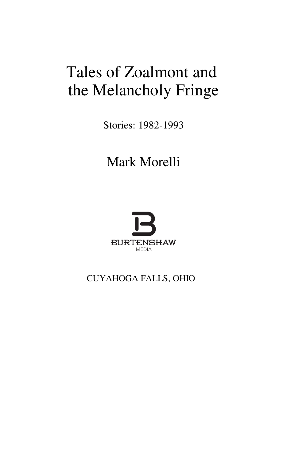# Tales of Zoalmont and the Melancholy Fringe

Stories: 1982-1993

## Mark Morelli



## CUYAHOGA FALLS, OHIO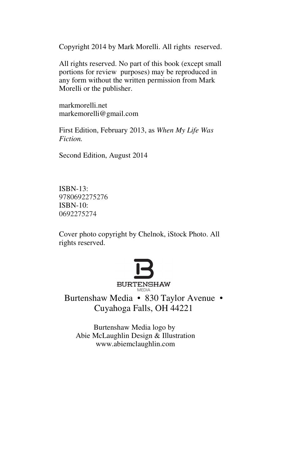Copyright 2014 by Mark Morelli. All rights reserved.

All rights reserved. No part of this book (except small portions for review purposes) may be reproduced in any form without the written permission from Mark Morelli or the publisher.

markmorelli.net markemorelli@gmail.com

First Edition, February 2013, as *When My Life Was Fiction.* 

Second Edition, August 2014

ISBN-13: 9780692275276 ISBN-10: 0692275274

Cover photo copyright by Chelnok, iStock Photo. All rights reserved.



Burtenshaw Media • 830 Taylor Avenue • Cuyahoga Falls, OH 44221

Burtenshaw Media logo by Abie McLaughlin Design & Illustration www.abiemclaughlin.com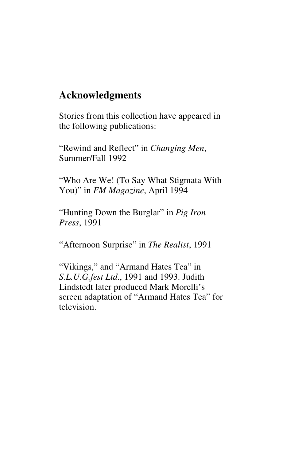## **Acknowledgments**

Stories from this collection have appeared in the following publications:

"Rewind and Reflect" in *Changing Men*, Summer/Fall 1992

"Who Are We! (To Say What Stigmata With You)" in *FM Magazine*, April 1994

"Hunting Down the Burglar" in *Pig Iron Press*, 1991

"Afternoon Surprise" in *The Realist*, 1991

"Vikings," and "Armand Hates Tea" in *S.L.U.G.fest Ltd*., 1991 and 1993. Judith Lindstedt later produced Mark Morelli's screen adaptation of "Armand Hates Tea" for television.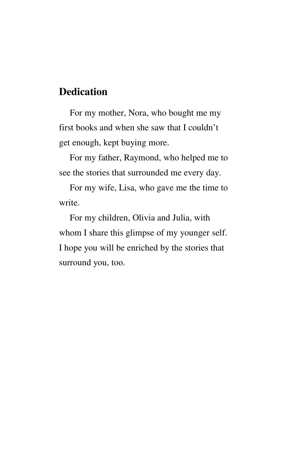## **Dedication**

For my mother, Nora, who bought me my first books and when she saw that I couldn't get enough, kept buying more.

For my father, Raymond, who helped me to see the stories that surrounded me every day.

For my wife, Lisa, who gave me the time to write.

For my children, Olivia and Julia, with whom I share this glimpse of my younger self. I hope you will be enriched by the stories that surround you, too.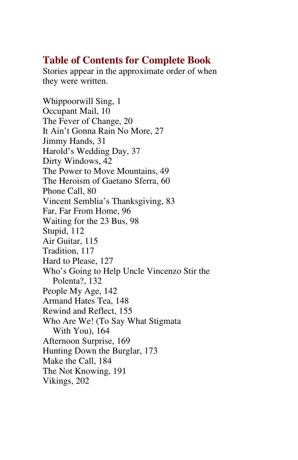## **Table of Contents for Complete Book**

Stories appear in the approximate order of when they were written.

Whippoorwill Sing, 1 Occupant Mail, 10 The Fever of Change, 20 It Ain't Gonna Rain No More, 27 Jimmy Hands, 31 Harold's Wedding Day, 37 Dirty Windows, 42 The Power to Move Mountains, 49 The Heroism of Gaetano Sferra, 60 Phone Call, 80 Vincent Semblia's Thanksgiving, 83 Far, Far From Home, 96 Waiting for the 23 Bus, 98 Stupid, 112 Air Guitar, 115 Tradition, 117 Hard to Please, 127 Who's Going to Help Uncle Vincenzo Stir the Polenta?, 132 People My Age, 142 Armand Hates Tea, 148 Rewind and Reflect, 155 Who Are We! (To Say What Stigmata With You), 164 Afternoon Surprise, 169 Hunting Down the Burglar, 173 Make the Call, 184 The Not Knowing, 191 Vikings, 202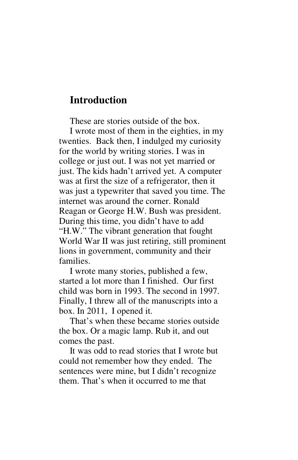### **Introduction**

These are stories outside of the box.

I wrote most of them in the eighties, in my twenties. Back then, I indulged my curiosity for the world by writing stories. I was in college or just out. I was not yet married or just. The kids hadn't arrived yet. A computer was at first the size of a refrigerator, then it was just a typewriter that saved you time. The internet was around the corner. Ronald Reagan or George H.W. Bush was president. During this time, you didn't have to add "H.W." The vibrant generation that fought World War II was just retiring, still prominent lions in government, community and their families.

I wrote many stories, published a few, started a lot more than I finished. Our first child was born in 1993. The second in 1997. Finally, I threw all of the manuscripts into a box. In 2011, I opened it.

That's when these became stories outside the box. Or a magic lamp. Rub it, and out comes the past.

It was odd to read stories that I wrote but could not remember how they ended. The sentences were mine, but I didn't recognize them. That's when it occurred to me that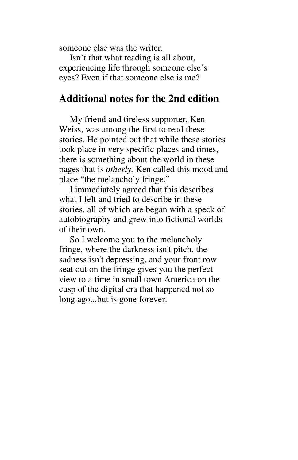someone else was the writer.

Isn't that what reading is all about, experiencing life through someone else's eyes? Even if that someone else is me?

#### **Additional notes for the 2nd edition**

My friend and tireless supporter, Ken Weiss, was among the first to read these stories. He pointed out that while these stories took place in very specific places and times, there is something about the world in these pages that is *otherly.* Ken called this mood and place "the melancholy fringe."

I immediately agreed that this describes what I felt and tried to describe in these stories, all of which are began with a speck of autobiography and grew into fictional worlds of their own.

So I welcome you to the melancholy fringe, where the darkness isn't pitch, the sadness isn't depressing, and your front row seat out on the fringe gives you the perfect view to a time in small town America on the cusp of the digital era that happened not so long ago...but is gone forever.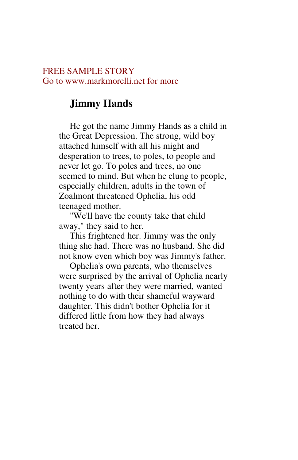#### FREE SAMPLE STORY Go to www.markmorelli.net for more

## **Jimmy Hands**

He got the name Jimmy Hands as a child in the Great Depression. The strong, wild boy attached himself with all his might and desperation to trees, to poles, to people and never let go. To poles and trees, no one seemed to mind. But when he clung to people, especially children, adults in the town of Zoalmont threatened Ophelia, his odd teenaged mother.

"We'll have the county take that child away," they said to her.

This frightened her. Jimmy was the only thing she had. There was no husband. She did not know even which boy was Jimmy's father.

Ophelia's own parents, who themselves were surprised by the arrival of Ophelia nearly twenty years after they were married, wanted nothing to do with their shameful wayward daughter. This didn't bother Ophelia for it differed little from how they had always treated her.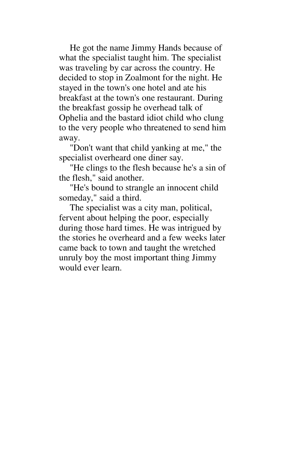He got the name Jimmy Hands because of what the specialist taught him. The specialist was traveling by car across the country. He decided to stop in Zoalmont for the night. He stayed in the town's one hotel and ate his breakfast at the town's one restaurant. During the breakfast gossip he overhead talk of Ophelia and the bastard idiot child who clung to the very people who threatened to send him away.

"Don't want that child yanking at me," the specialist overheard one diner say.

"He clings to the flesh because he's a sin of the flesh," said another.

"He's bound to strangle an innocent child someday," said a third.

The specialist was a city man, political, fervent about helping the poor, especially during those hard times. He was intrigued by the stories he overheard and a few weeks later came back to town and taught the wretched unruly boy the most important thing Jimmy would ever learn.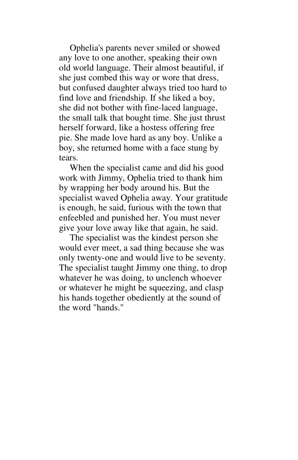Ophelia's parents never smiled or showed any love to one another, speaking their own old world language. Their almost beautiful, if she just combed this way or wore that dress, but confused daughter always tried too hard to find love and friendship. If she liked a boy, she did not bother with fine-laced language, the small talk that bought time. She just thrust herself forward, like a hostess offering free pie. She made love hard as any boy. Unlike a boy, she returned home with a face stung by tears.

When the specialist came and did his good work with Jimmy, Ophelia tried to thank him by wrapping her body around his. But the specialist waved Ophelia away. Your gratitude is enough, he said, furious with the town that enfeebled and punished her. You must never give your love away like that again, he said.

The specialist was the kindest person she would ever meet, a sad thing because she was only twenty-one and would live to be seventy. The specialist taught Jimmy one thing, to drop whatever he was doing, to unclench whoever or whatever he might be squeezing, and clasp his hands together obediently at the sound of the word "hands."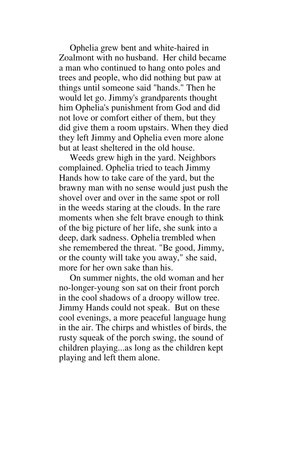Ophelia grew bent and white-haired in Zoalmont with no husband. Her child became a man who continued to hang onto poles and trees and people, who did nothing but paw at things until someone said "hands." Then he would let go. Jimmy's grandparents thought him Ophelia's punishment from God and did not love or comfort either of them, but they did give them a room upstairs. When they died they left Jimmy and Ophelia even more alone but at least sheltered in the old house.

Weeds grew high in the yard. Neighbors complained. Ophelia tried to teach Jimmy Hands how to take care of the yard, but the brawny man with no sense would just push the shovel over and over in the same spot or roll in the weeds staring at the clouds. In the rare moments when she felt brave enough to think of the big picture of her life, she sunk into a deep, dark sadness. Ophelia trembled when she remembered the threat. "Be good, Jimmy, or the county will take you away," she said, more for her own sake than his.

On summer nights, the old woman and her no-longer-young son sat on their front porch in the cool shadows of a droopy willow tree. Jimmy Hands could not speak. But on these cool evenings, a more peaceful language hung in the air. The chirps and whistles of birds, the rusty squeak of the porch swing, the sound of children playing...as long as the children kept playing and left them alone.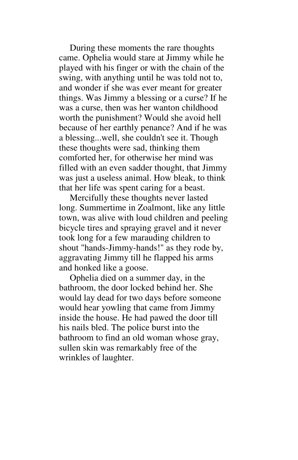During these moments the rare thoughts came. Ophelia would stare at Jimmy while he played with his finger or with the chain of the swing, with anything until he was told not to, and wonder if she was ever meant for greater things. Was Jimmy a blessing or a curse? If he was a curse, then was her wanton childhood worth the punishment? Would she avoid hell because of her earthly penance? And if he was a blessing...well, she couldn't see it. Though these thoughts were sad, thinking them comforted her, for otherwise her mind was filled with an even sadder thought, that Jimmy was just a useless animal. How bleak, to think that her life was spent caring for a beast.

Mercifully these thoughts never lasted long. Summertime in Zoalmont, like any little town, was alive with loud children and peeling bicycle tires and spraying gravel and it never took long for a few marauding children to shout "hands-Jimmy-hands!" as they rode by, aggravating Jimmy till he flapped his arms and honked like a goose.

Ophelia died on a summer day, in the bathroom, the door locked behind her. She would lay dead for two days before someone would hear yowling that came from Jimmy inside the house. He had pawed the door till his nails bled. The police burst into the bathroom to find an old woman whose gray, sullen skin was remarkably free of the wrinkles of laughter.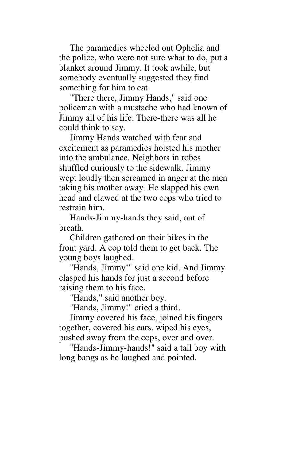The paramedics wheeled out Ophelia and the police, who were not sure what to do, put a blanket around Jimmy. It took awhile, but somebody eventually suggested they find something for him to eat.

"There there, Jimmy Hands," said one policeman with a mustache who had known of Jimmy all of his life. There-there was all he could think to say.

Jimmy Hands watched with fear and excitement as paramedics hoisted his mother into the ambulance. Neighbors in robes shuffled curiously to the sidewalk. Jimmy wept loudly then screamed in anger at the men taking his mother away. He slapped his own head and clawed at the two cops who tried to restrain him.

Hands-Jimmy-hands they said, out of breath.

Children gathered on their bikes in the front yard. A cop told them to get back. The young boys laughed.

"Hands, Jimmy!" said one kid. And Jimmy clasped his hands for just a second before raising them to his face.

"Hands," said another boy.

"Hands, Jimmy!" cried a third.

Jimmy covered his face, joined his fingers together, covered his ears, wiped his eyes, pushed away from the cops, over and over.

"Hands-Jimmy-hands!" said a tall boy with long bangs as he laughed and pointed.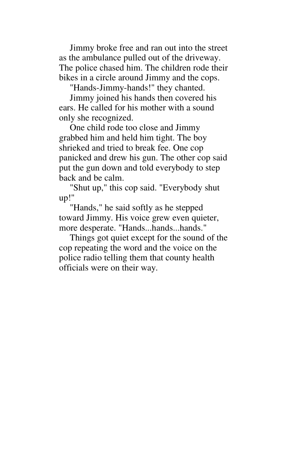Jimmy broke free and ran out into the street as the ambulance pulled out of the driveway. The police chased him. The children rode their bikes in a circle around Jimmy and the cops.

"Hands-Jimmy-hands!" they chanted.

Jimmy joined his hands then covered his ears. He called for his mother with a sound only she recognized.

One child rode too close and Jimmy grabbed him and held him tight. The boy shrieked and tried to break fee. One cop panicked and drew his gun. The other cop said put the gun down and told everybody to step back and be calm.

"Shut up," this cop said. "Everybody shut up!"

"Hands," he said softly as he stepped toward Jimmy. His voice grew even quieter, more desperate. "Hands...hands...hands."

Things got quiet except for the sound of the cop repeating the word and the voice on the police radio telling them that county health officials were on their way.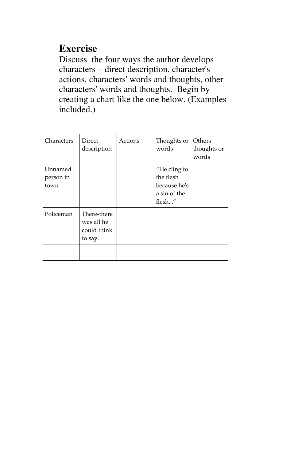## **Exercise**

Discuss the four ways the author develops characters – direct description, character's actions, characters' words and thoughts, other characters' words and thoughts. Begin by creating a chart like the one below. (Examples included.)

| Characters                   | <b>Direct</b><br>description                        | Actions | Thoughts or<br>words                                                | Others<br>thoughts or<br>words |
|------------------------------|-----------------------------------------------------|---------|---------------------------------------------------------------------|--------------------------------|
| Unnamed<br>person in<br>town |                                                     |         | "He cling to<br>the flesh<br>because he's<br>a sin of the<br>flesh" |                                |
| Policeman                    | There-there<br>was all he<br>could think<br>to say. |         |                                                                     |                                |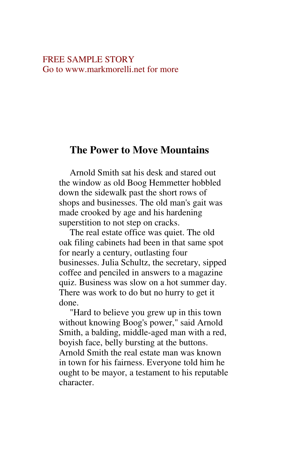#### FREE SAMPLE STORY Go to www.markmorelli.net for more

#### **The Power to Move Mountains**

Arnold Smith sat his desk and stared out the window as old Boog Hemmetter hobbled down the sidewalk past the short rows of shops and businesses. The old man's gait was made crooked by age and his hardening superstition to not step on cracks.

The real estate office was quiet. The old oak filing cabinets had been in that same spot for nearly a century, outlasting four businesses. Julia Schultz, the secretary, sipped coffee and penciled in answers to a magazine quiz. Business was slow on a hot summer day. There was work to do but no hurry to get it done.

"Hard to believe you grew up in this town without knowing Boog's power," said Arnold Smith, a balding, middle-aged man with a red, boyish face, belly bursting at the buttons. Arnold Smith the real estate man was known in town for his fairness. Everyone told him he ought to be mayor, a testament to his reputable character.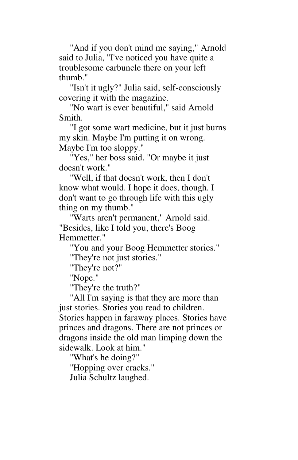"And if you don't mind me saying," Arnold said to Julia, "I've noticed you have quite a troublesome carbuncle there on your left thumb."

"Isn't it ugly?" Julia said, self-consciously covering it with the magazine.

"No wart is ever beautiful," said Arnold Smith.

"I got some wart medicine, but it just burns my skin. Maybe I'm putting it on wrong. Maybe I'm too sloppy."

"Yes," her boss said. "Or maybe it just doesn't work."

"Well, if that doesn't work, then I don't know what would. I hope it does, though. I don't want to go through life with this ugly thing on my thumb."

"Warts aren't permanent," Arnold said. "Besides, like I told you, there's Boog Hemmetter."

"You and your Boog Hemmetter stories."

"They're not just stories."

"They're not?"

"Nope."

"They're the truth?"

"All I'm saying is that they are more than just stories. Stories you read to children. Stories happen in faraway places. Stories have princes and dragons. There are not princes or dragons inside the old man limping down the sidewalk. Look at him."

"What's he doing?"

"Hopping over cracks."

Julia Schultz laughed.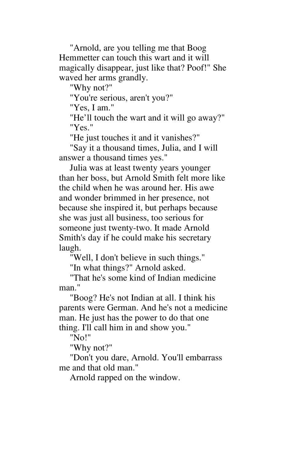"Arnold, are you telling me that Boog Hemmetter can touch this wart and it will magically disappear, just like that? Poof!" She waved her arms grandly.

"Why not?"

"You're serious, aren't you?"

"Yes, I am."

"He'll touch the wart and it will go away?" "Yes."

"He just touches it and it vanishes?"

"Say it a thousand times, Julia, and I will answer a thousand times yes."

Julia was at least twenty years younger than her boss, but Arnold Smith felt more like the child when he was around her. His awe and wonder brimmed in her presence, not because she inspired it, but perhaps because she was just all business, too serious for someone just twenty-two. It made Arnold Smith's day if he could make his secretary laugh.

"Well, I don't believe in such things."

"In what things?" Arnold asked.

"That he's some kind of Indian medicine man."

"Boog? He's not Indian at all. I think his parents were German. And he's not a medicine man. He just has the power to do that one thing. I'll call him in and show you."

"No!"

"Why not?"

"Don't you dare, Arnold. You'll embarrass me and that old man."

Arnold rapped on the window.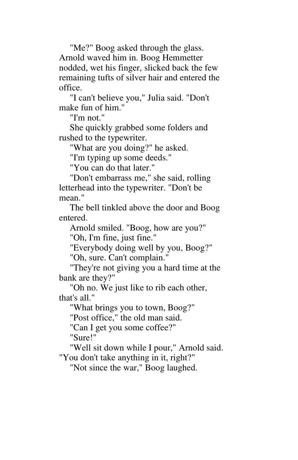"Me?" Boog asked through the glass. Arnold waved him in. Boog Hemmetter nodded, wet his finger, slicked back the few remaining tufts of silver hair and entered the office.

"I can't believe you," Julia said. "Don't make fun of him."

"I'm not."

She quickly grabbed some folders and rushed to the typewriter.

"What are you doing?" he asked.

"I'm typing up some deeds."

"You can do that later."

"Don't embarrass me," she said, rolling letterhead into the typewriter. "Don't be mean."

The bell tinkled above the door and Boog entered.

Arnold smiled. "Boog, how are you?"

"Oh, I'm fine, just fine."

"Everybody doing well by you, Boog?"

"Oh, sure. Can't complain."

"They're not giving you a hard time at the bank are they?"

"Oh no. We just like to rib each other, that's all."

"What brings you to town, Boog?"

"Post office," the old man said.

"Can I get you some coffee?"

"Sure!"

"Well sit down while I pour," Arnold said.

"You don't take anything in it, right?"

"Not since the war," Boog laughed.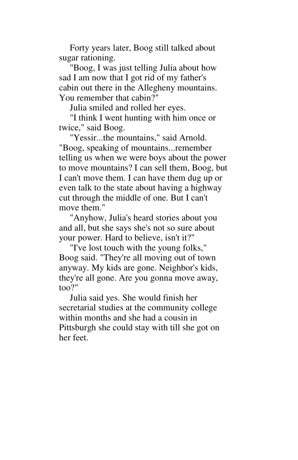Forty years later, Boog still talked about sugar rationing.

"Boog, I was just telling Julia about how sad I am now that I got rid of my father's cabin out there in the Allegheny mountains. You remember that cabin?"

Julia smiled and rolled her eyes.

"I think I went hunting with him once or twice," said Boog.

"Yessir...the mountains," said Arnold. "Boog, speaking of mountains...remember telling us when we were boys about the power to move mountains? I can sell them, Boog, but I can't move them. I can have them dug up or even talk to the state about having a highway cut through the middle of one. But I can't move them."

"Anyhow, Julia's heard stories about you and all, but she says she's not so sure about your power. Hard to believe, isn't it?"

"I've lost touch with the young folks," Boog said. "They're all moving out of town anyway. My kids are gone. Neighbor's kids, they're all gone. Are you gonna move away, too?"

Julia said yes. She would finish her secretarial studies at the community college within months and she had a cousin in Pittsburgh she could stay with till she got on her feet.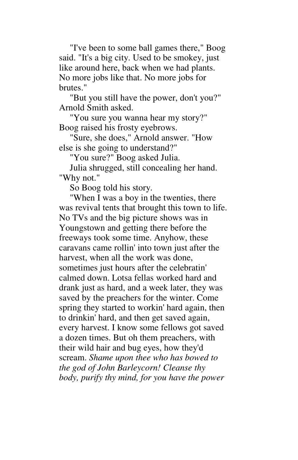"I've been to some ball games there," Boog said. "It's a big city. Used to be smokey, just like around here, back when we had plants. No more jobs like that. No more jobs for brutes."

"But you still have the power, don't you?" Arnold Smith asked.

"You sure you wanna hear my story?" Boog raised his frosty eyebrows.

"Sure, she does," Arnold answer. "How else is she going to understand?"

"You sure?" Boog asked Julia.

Julia shrugged, still concealing her hand. "Why not."

So Boog told his story.

"When I was a boy in the twenties, there was revival tents that brought this town to life. No TVs and the big picture shows was in Youngstown and getting there before the freeways took some time. Anyhow, these caravans came rollin' into town just after the harvest, when all the work was done, sometimes just hours after the celebratin' calmed down. Lotsa fellas worked hard and drank just as hard, and a week later, they was saved by the preachers for the winter. Come spring they started to workin' hard again, then to drinkin' hard, and then get saved again, every harvest. I know some fellows got saved a dozen times. But oh them preachers, with their wild hair and bug eyes, how they'd scream. *Shame upon thee who has bowed to the god of John Barleycorn! Cleanse thy body, purify thy mind, for you have the power*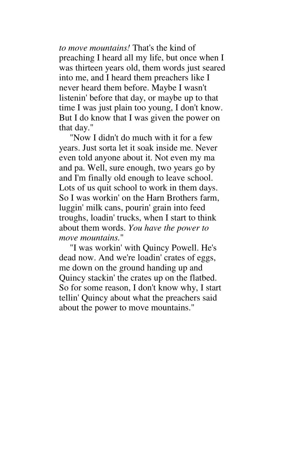*to move mountains!* That's the kind of preaching I heard all my life, but once when I was thirteen years old, them words just seared into me, and I heard them preachers like I never heard them before. Maybe I wasn't listenin' before that day, or maybe up to that time I was just plain too young, I don't know. But I do know that I was given the power on that day."

"Now I didn't do much with it for a few years. Just sorta let it soak inside me. Never even told anyone about it. Not even my ma and pa. Well, sure enough, two years go by and I'm finally old enough to leave school. Lots of us quit school to work in them days. So I was workin' on the Harn Brothers farm, luggin' milk cans, pourin' grain into feed troughs, loadin' trucks, when I start to think about them words. *You have the power to move mountains.*"

"I was workin' with Quincy Powell. He's dead now. And we're loadin' crates of eggs, me down on the ground handing up and Quincy stackin' the crates up on the flatbed. So for some reason, I don't know why, I start tellin' Quincy about what the preachers said about the power to move mountains."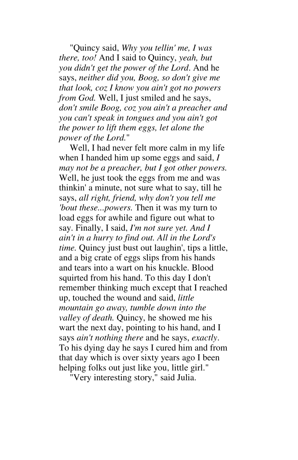"Quincy said, *Why you tellin' me, I was there, too!* And I said to Quincy, *yeah, but you didn't get the power of the Lord*. And he says, *neither did you, Boog, so don't give me that look, coz I know you ain't got no powers from God.* Well, I just smiled and he says, *don't smile Boog, coz you ain't a preacher and you can't speak in tongues and you ain't got the power to lift them eggs, let alone the power of the Lord.*"

Well, I had never felt more calm in my life when I handed him up some eggs and said, *I may not be a preacher, but I got other powers.*  Well, he just took the eggs from me and was thinkin' a minute, not sure what to say, till he says, *all right, friend, why don't you tell me 'bout these...powers.* Then it was my turn to load eggs for awhile and figure out what to say. Finally, I said, *I'm not sure yet. And I ain't in a hurry to find out. All in the Lord's time.* Quincy just bust out laughin', tips a little, and a big crate of eggs slips from his hands and tears into a wart on his knuckle. Blood squirted from his hand. To this day I don't remember thinking much except that I reached up, touched the wound and said, *little mountain go away, tumble down into the valley of death.* Quincy, he showed me his wart the next day, pointing to his hand, and I says *ain't nothing there* and he says, *exactly*. To his dying day he says I cured him and from that day which is over sixty years ago I been helping folks out just like you, little girl."

"Very interesting story," said Julia.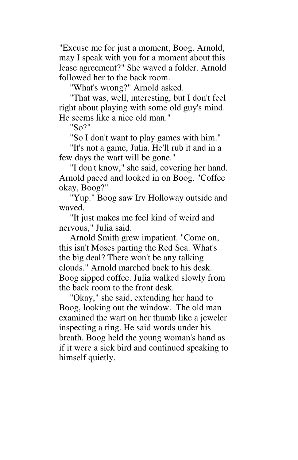"Excuse me for just a moment, Boog. Arnold, may I speak with you for a moment about this lease agreement?" She waved a folder. Arnold followed her to the back room.

"What's wrong?" Arnold asked.

"That was, well, interesting, but I don't feel right about playing with some old guy's mind. He seems like a nice old man."

"So?"

"So I don't want to play games with him."

"It's not a game, Julia. He'll rub it and in a few days the wart will be gone."

"I don't know," she said, covering her hand. Arnold paced and looked in on Boog. "Coffee okay, Boog?"

"Yup." Boog saw Irv Holloway outside and waved.

"It just makes me feel kind of weird and nervous," Julia said.

Arnold Smith grew impatient. "Come on, this isn't Moses parting the Red Sea. What's the big deal? There won't be any talking clouds." Arnold marched back to his desk. Boog sipped coffee. Julia walked slowly from the back room to the front desk.

"Okay," she said, extending her hand to Boog, looking out the window. The old man examined the wart on her thumb like a jeweler inspecting a ring. He said words under his breath. Boog held the young woman's hand as if it were a sick bird and continued speaking to himself quietly.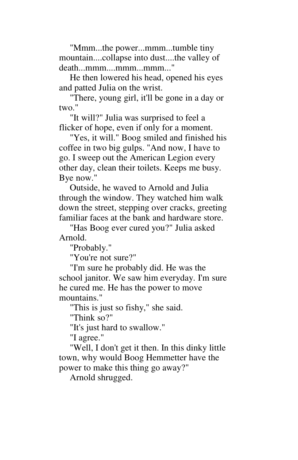"Mmm...the power...mmm...tumble tiny mountain....collapse into dust....the valley of death...mmm....mmm...mmm..."

He then lowered his head, opened his eyes and patted Julia on the wrist.

"There, young girl, it'll be gone in a day or two."

"It will?" Julia was surprised to feel a flicker of hope, even if only for a moment.

"Yes, it will." Boog smiled and finished his coffee in two big gulps. "And now, I have to go. I sweep out the American Legion every other day, clean their toilets. Keeps me busy. Bye now."

Outside, he waved to Arnold and Julia through the window. They watched him walk down the street, stepping over cracks, greeting familiar faces at the bank and hardware store.

"Has Boog ever cured you?" Julia asked Arnold.

"Probably."

"You're not sure?"

"I'm sure he probably did. He was the school janitor. We saw him everyday. I'm sure he cured me. He has the power to move mountains."

"This is just so fishy," she said.

"Think so?"

"It's just hard to swallow."

"I agree."

"Well, I don't get it then. In this dinky little town, why would Boog Hemmetter have the power to make this thing go away?"

Arnold shrugged.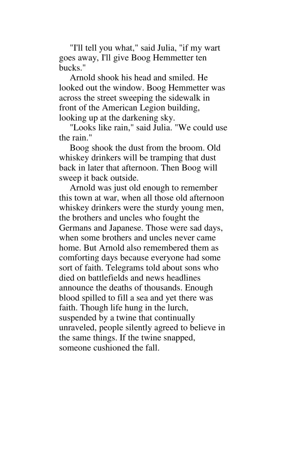"I'll tell you what," said Julia, "if my wart goes away, I'll give Boog Hemmetter ten bucks."

Arnold shook his head and smiled. He looked out the window. Boog Hemmetter was across the street sweeping the sidewalk in front of the American Legion building, looking up at the darkening sky.

"Looks like rain," said Julia. "We could use the rain."

Boog shook the dust from the broom. Old whiskey drinkers will be tramping that dust back in later that afternoon. Then Boog will sweep it back outside.

Arnold was just old enough to remember this town at war, when all those old afternoon whiskey drinkers were the sturdy young men, the brothers and uncles who fought the Germans and Japanese. Those were sad days, when some brothers and uncles never came home. But Arnold also remembered them as comforting days because everyone had some sort of faith. Telegrams told about sons who died on battlefields and news headlines announce the deaths of thousands. Enough blood spilled to fill a sea and yet there was faith. Though life hung in the lurch, suspended by a twine that continually unraveled, people silently agreed to believe in the same things. If the twine snapped, someone cushioned the fall.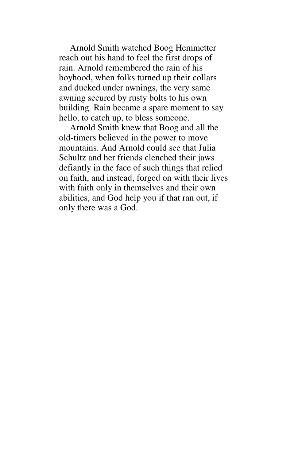Arnold Smith watched Boog Hemmetter reach out his hand to feel the first drops of rain. Arnold remembered the rain of his boyhood, when folks turned up their collars and ducked under awnings, the very same awning secured by rusty bolts to his own building. Rain became a spare moment to say hello, to catch up, to bless someone.

Arnold Smith knew that Boog and all the old-timers believed in the power to move mountains. And Arnold could see that Julia Schultz and her friends clenched their jaws defiantly in the face of such things that relied on faith, and instead, forged on with their lives with faith only in themselves and their own abilities, and God help you if that ran out, if only there was a God.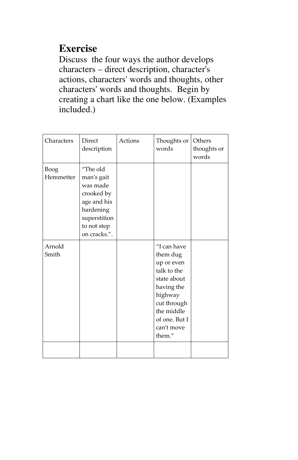## **Exercise**

Discuss the four ways the author develops characters – direct description, character's actions, characters' words and thoughts, other characters' words and thoughts. Begin by creating a chart like the one below. (Examples included.)

| Characters        | Direct<br>description                                                                                                       | Actions | Thoughts or<br>words                                                                                                                                               | Others<br>thoughts or<br>words |
|-------------------|-----------------------------------------------------------------------------------------------------------------------------|---------|--------------------------------------------------------------------------------------------------------------------------------------------------------------------|--------------------------------|
| Boog<br>Hemmetter | "The old<br>man's gait<br>was made<br>crooked by<br>age and his<br>hardening<br>superstition<br>to not step<br>on cracks.". |         |                                                                                                                                                                    |                                |
| Arnold<br>Smith   |                                                                                                                             |         | "I can have<br>them dug<br>up or even<br>talk to the<br>state about<br>having the<br>highway<br>cut through<br>the middle<br>of one. But I<br>can't move<br>them." |                                |
|                   |                                                                                                                             |         |                                                                                                                                                                    |                                |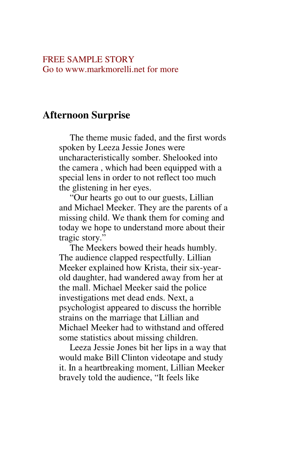#### FREE SAMPLE STORY Go to www.markmorelli.net for more

## **Afternoon Surprise**

The theme music faded, and the first words spoken by Leeza Jessie Jones were uncharacteristically somber. Shelooked into the camera , which had been equipped with a special lens in order to not reflect too much the glistening in her eyes.

"Our hearts go out to our guests, Lillian and Michael Meeker. They are the parents of a missing child. We thank them for coming and today we hope to understand more about their tragic story."

The Meekers bowed their heads humbly. The audience clapped respectfully. Lillian Meeker explained how Krista, their six-yearold daughter, had wandered away from her at the mall. Michael Meeker said the police investigations met dead ends. Next, a psychologist appeared to discuss the horrible strains on the marriage that Lillian and Michael Meeker had to withstand and offered some statistics about missing children.

Leeza Jessie Jones bit her lips in a way that would make Bill Clinton videotape and study it. In a heartbreaking moment, Lillian Meeker bravely told the audience, "It feels like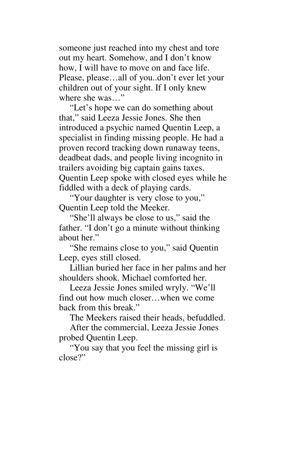someone just reached into my chest and tore out my heart. Somehow, and I don't know how, I will have to move on and face life. Please, please…all of you..don't ever let your children out of your sight. If I only knew where she was…"

"Let's hope we can do something about that," said Leeza Jessie Jones. She then introduced a psychic named Quentin Leep, a specialist in finding missing people. He had a proven record tracking down runaway teens, deadbeat dads, and people living incognito in trailers avoiding big captain gains taxes. Quentin Leep spoke with closed eyes while he fiddled with a deck of playing cards.

"Your daughter is very close to you," Quentin Leep told the Meeker.

"She'll always be close to us," said the father. "I don't go a minute without thinking about her."

"She remains close to you," said Quentin Leep, eyes still closed.

Lillian buried her face in her palms and her shoulders shook. Michael comforted her.

Leeza Jessie Jones smiled wryly. "We'll find out how much closer…when we come back from this break."

The Meekers raised their heads, befuddled.

After the commercial, Leeza Jessie Jones probed Quentin Leep.

"You say that you feel the missing girl is close?"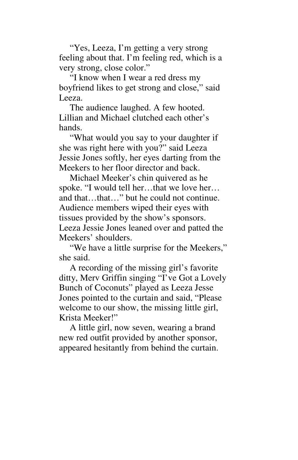"Yes, Leeza, I'm getting a very strong feeling about that. I'm feeling red, which is a very strong, close color."

"I know when I wear a red dress my boyfriend likes to get strong and close," said Leeza.

The audience laughed. A few hooted. Lillian and Michael clutched each other's hands.

"What would you say to your daughter if she was right here with you?" said Leeza Jessie Jones softly, her eyes darting from the Meekers to her floor director and back.

Michael Meeker's chin quivered as he spoke. "I would tell her...that we love her... and that…that…" but he could not continue. Audience members wiped their eyes with tissues provided by the show's sponsors. Leeza Jessie Jones leaned over and patted the Meekers' shoulders.

"We have a little surprise for the Meekers," she said.

A recording of the missing girl's favorite ditty, Merv Griffin singing "I've Got a Lovely Bunch of Coconuts" played as Leeza Jesse Jones pointed to the curtain and said, "Please welcome to our show, the missing little girl, Krista Meeker!"

A little girl, now seven, wearing a brand new red outfit provided by another sponsor, appeared hesitantly from behind the curtain.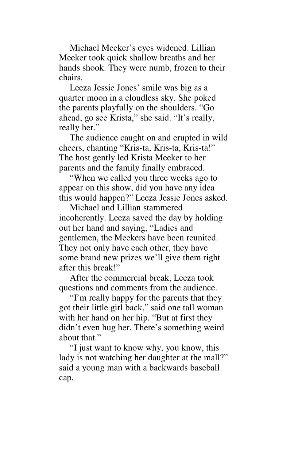Michael Meeker's eyes widened. Lillian Meeker took quick shallow breaths and her hands shook. They were numb, frozen to their chairs.

Leeza Jessie Jones' smile was big as a quarter moon in a cloudless sky. She poked the parents playfully on the shoulders. "Go ahead, go see Krista," she said. "It's really, really her."

The audience caught on and erupted in wild cheers, chanting "Kris-ta, Kris-ta, Kris-ta!" The host gently led Krista Meeker to her parents and the family finally embraced.

"When we called you three weeks ago to appear on this show, did you have any idea this would happen?" Leeza Jessie Jones asked.

Michael and Lillian stammered incoherently. Leeza saved the day by holding out her hand and saying, "Ladies and gentlemen, the Meekers have been reunited. They not only have each other, they have some brand new prizes we'll give them right after this break!"

After the commercial break, Leeza took questions and comments from the audience.

"I'm really happy for the parents that they got their little girl back," said one tall woman with her hand on her hip. "But at first they didn't even hug her. There's something weird about that."

"I just want to know why, you know, this lady is not watching her daughter at the mall?" said a young man with a backwards baseball cap.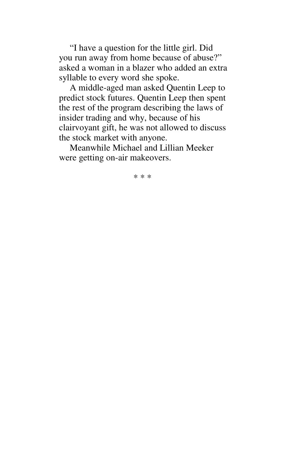"I have a question for the little girl. Did you run away from home because of abuse?" asked a woman in a blazer who added an extra syllable to every word she spoke.

A middle-aged man asked Quentin Leep to predict stock futures. Quentin Leep then spent the rest of the program describing the laws of insider trading and why, because of his clairvoyant gift, he was not allowed to discuss the stock market with anyone.

Meanwhile Michael and Lillian Meeker were getting on-air makeovers.

\* \* \*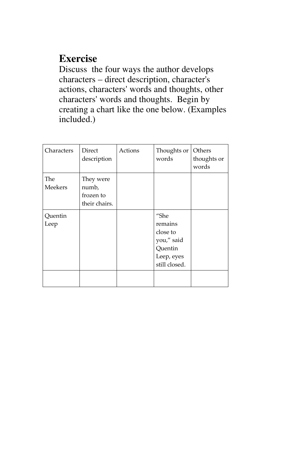## **Exercise**

Discuss the four ways the author develops characters – direct description, character's actions, characters' words and thoughts, other characters' words and thoughts. Begin by creating a chart like the one below. (Examples included.)

| Characters            | Direct<br>description                            | Actions | Thoughts or<br>words                                                                | Others<br>thoughts or<br>words |
|-----------------------|--------------------------------------------------|---------|-------------------------------------------------------------------------------------|--------------------------------|
| The<br><b>Meekers</b> | They were<br>numb,<br>frozen to<br>their chairs. |         |                                                                                     |                                |
| Quentin<br>Leep       |                                                  |         | "She<br>remains<br>close to<br>you," said<br>Quentin<br>Leep, eyes<br>still closed. |                                |
|                       |                                                  |         |                                                                                     |                                |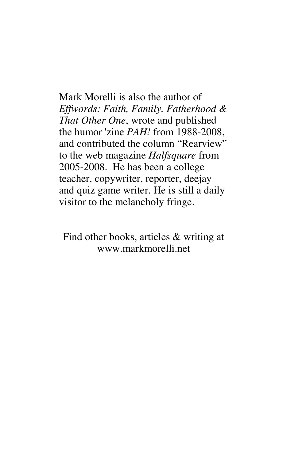Mark Morelli is also the author of *Effwords: Faith, Family, Fatherhood & That Other One*, wrote and published the humor 'zine *PAH!* from 1988-2008, and contributed the column "Rearview" to the web magazine *Halfsquare* from 2005-2008. He has been a college teacher, copywriter, reporter, deejay and quiz game writer. He is still a daily visitor to the melancholy fringe.

Find other books, articles & writing at www.markmorelli.net